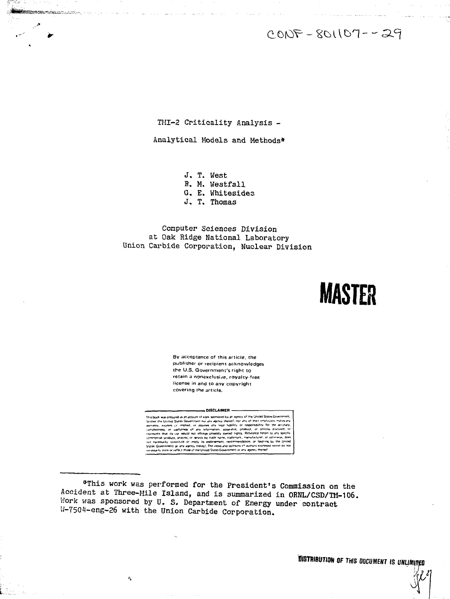$CONF - SO1107 - -29$ 

TMI-2 Criticality Analysis -

**Mission and Automatic Property** 

Analytical Models and Methods\*

J. T. West

R. M. Westfall

G. E. Whitesides

J. T. Thomas

Computer Sciences Division at Oak Ridge National Laboratory Union Carbide Corporation, Nuclear Division

# **MASTER**

By acceptance of this article, the publisher or recipient acknowledges the U.S. Government's right to retain a nonexclusive, royalty-free license in and to any copyright. covering the article.

#### DISCLAIMER

us organised as an account of vests soundanced by an approx of the United States Gove is book was presumed as an account interest somewheat by an expect of the United States Government our aim appropriate for the terms of their empressions of the components of the components of the present of the present of indeed by an agency or the crimes owned conservations.<br>Teach shall sponting or responsibility for the actriticity<br>Teach fight from the exponsibility for the actriticity<br>on, appenditis, product, or process disclosed, or<br>rat

\*This work was performed for the President's Commission on the Accident at Three-Mile Island, and is summarized in ORNL/CSD/TM-106. Work was sponsored by U. S. Department of Energy under contract W-7504-eng-26 with the Union Carbide Corporation.

 $\mathcal{L}_{\mathrm{in}}$ 

**TISTRIBUTION OF THIS ODCUMENT IS UNLIMITED**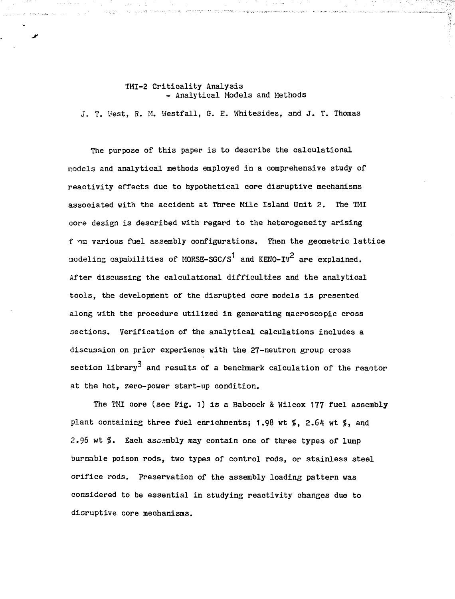### TMI-2 Criticality Analysis - Analytical Models and Methods

n in provincia surgenting institution to do the BM in the papel hand than complete and of

대 75*명*은

J. T. West, H. M. Westfall, G. E. Whitesides, and J. T. Thomas

The purpose of this paper is to describe the calculational models and analytical methods employed in a comprehensive study of reactivity effects due to hypothetical core disruptive mechanisms associated with the accident at Three Mile Island Unit 2. The TMI core design is described with regard to the heterogeneity arising f on various fuel assembly configurations. Then the geometric lattice modeling capabilities of MORSE-SGC/S<sup>1</sup> and KENO-IV<sup>2</sup> are explained. After discussing the calculational difficulties and the analytical tools, the development of the disrupted core models is presented along with the procedure utilized in generating macroscopic cross sections. Verification of the analytical calculations includes a discussion on prior experience with the 27-neutron group cross section library<sup>3</sup> and results of a benchmark calculation of the reactor at the hot, zero-power start-up condition.

The TMI core (see Fig. 1) is a Babcoek & Wilcox 177 fuel assembly plant containing three fuel enrichments; 1.98 wt  $\frac{2}{3}$ , 2.64 wt  $\frac{2}{3}$ , and 2.96 wt  $\%$ . Each assembly may contain one of three types of lump burnable poison rods, two types of control rods, or stainless steel orifice rods. Preservation of the assembly loading pattern was considered to be essential in studying reactivity changes due to disruptive core mechanisms.

 $\sim 10^{-1}$ 

而更好。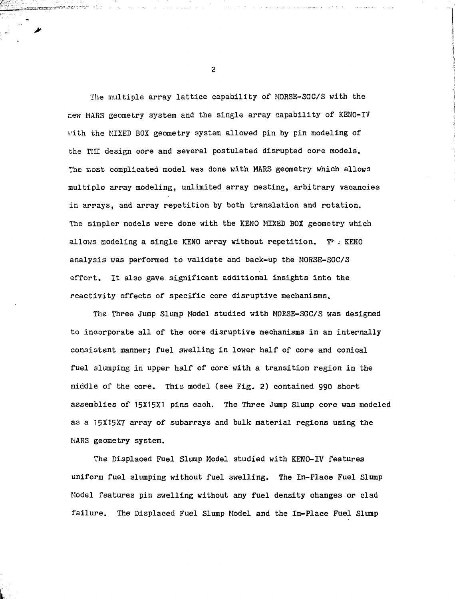The multiple array lattice capability of MORSE-SGC/S with the new MARS geometry system and the single array capability of KENO-IV with the MIXED BOX geometry system allowed pin by pin modeling of the Till design core and several postulated disrupted core models. The most complicated model was done with MARS geometry which allows multiple array modeling, unlimited array nesting, arbitrary vacancies in arrays, and array repetition by both translation and rotation. The simpler models were done with the KENO MIXED BOX geometry which allows modeling a single KENO array without repetition.  $T^k$  - KENO analysis was performed to validate and back-up the MORSE-SGC/S effort. It also gave significant additional insights into the reactivity effects of specific core disruptive mechanisms.

The Three Jump Slump Model studied with MORSE-SGC/S was designed to incorporate all of the core disruptive mechanisms in an internally consistent manner; fuel swelling in lower half of core and conical fuel slumping in upper half of core with a transition region in the middle of the core. This model (see Fig. 2) contained 990 short assemblies of 15X15X1 pins each. The Three Jump Slump core was modeled as a 15X15X7 array of subarrays and bulk material regions using the MARS geometry system.

The Displaced Fuel Slump Model studied with KENO-IV features uniform fuel slumping without fuel swelling. The In-Place Fuel Slump Model features pin swelling without any fuel density changes or clad failure. The Displaced Fuel Slump Model and the In-Place Fuel Slump

 $\overline{2}$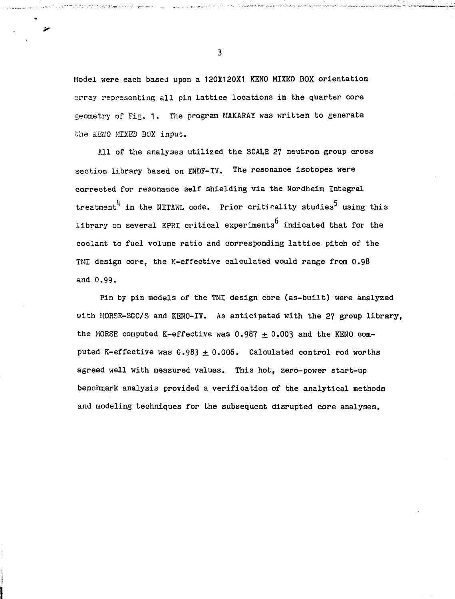Model were each based upon a 120X120X1 KENO MIXED BOX orientation array representing all pin lattice locations in the quarter core geometry of Fig. 1. The program MAKARAY was vritten to generate the KENO MIXED BOX input.

All of the analyses utilized the SCALE 27 neutron group cross section library based on ENDF-IV. The resonance isotopes were corrected for resonance self shielding via the Nordheim Integral treatment<sup>4</sup> in the NITAWL code. Prior critinality studies<sup>5</sup> using this library on several EPRI critical experiments indicated that for the coolant to fuel volume ratio and corresponding lattice pitch of the TMI design core, the K-effective calculated would range from 0.98 and 0.99.

Pin by pin models of the TMI design core (as-built) were analyzed with MORSE-SGC/S and KENO-IV. As anticipated with the 27 group library, the MORSE computed K-effective was  $0.987 \pm 0.003$  and the KENO computed K-effective was  $0.983 \pm 0.006$ . Calculated control rod worths agreed well with measured values. This hot, zero-power start-up benchmark analysis provided a verification of the analytical methods and modeling techniques for the subsequent disrupted core analyses.

3

 $\overline{\mathbf{z}}$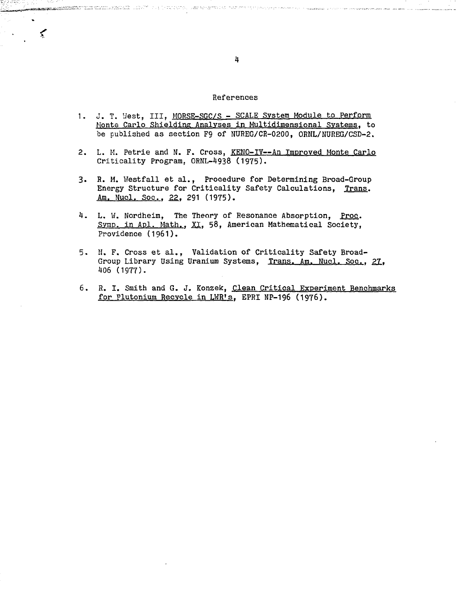## References

- 1. J. T. West, III, MORSE-SGC/S SCALE System Module to Perform Monte Carlo Shielding Analyses in Multidimensional Systems, to be published as section F9 of NUREG/CR-0200, ORNL/NUREG/CSD-2.
- 2. L. M. Petrie and N. F. Cross, KENO-IV--An Improved Monte Carlo Criticality Program. ORNL-4938 (1975).
- 3. R. M. Westfall et al., Procedure for Determining Broad-Group Energy Structure for Criticality Safety Calculations, Trans. Am. Nucl. Soc., 22, 291 (1975).
- 4. L. W. Nordheim, The Theory of Resonance Absorption, Proc. Symp. in Apl. Math., XI, 58, American Mathematical Society, Providence (1961).
- 5. N. F. Cross et al., Validation of Criticality Safety Broad-Group Library Using Uranium Systems, Trans. Am. Nucl. Soc., 27, 406 (1977).
- 6. R. I. Smith and G. J. Konzek, Clean Critical Experiment Benchmarks for Plutonium Recycle in LWR's, EPRI NP-196 (1976).

 $\sim$ ਾ≲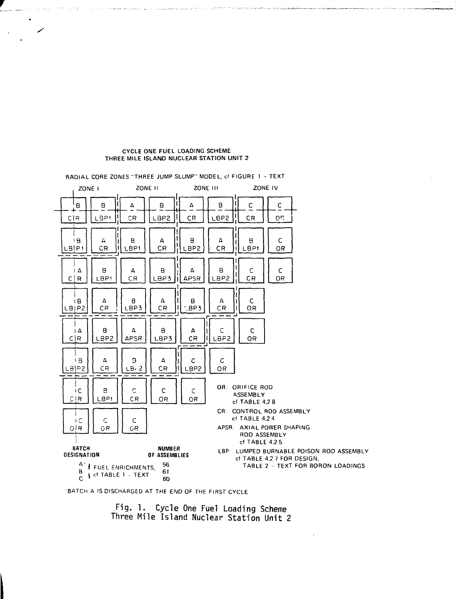#### **CYCLE ONE FUEL LOADING SCHEME THREE MILE ISLAND NUCLEAR STATION UNIT** 2

in the

and the Castless me couponed

unstate the listualistic view



•BATCH A IS DISCHARGED AT THE END OF THE FIRST CYCLE

**Fig. 1. Cycle One Fuel Loading Scheme Three Mile Island Nuclear Station Unit 2**